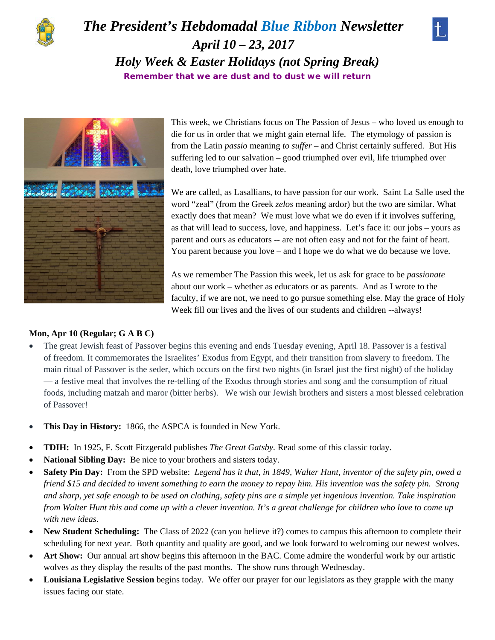

## *The President's Hebdomadal Blue Ribbon Newsletter April 10 – 23, 2017 Holy Week & Easter Holidays (not Spring Break)*  **Remember that we are dust and to dust we will return**





This week, we Christians focus on The Passion of Jesus – who loved us enough to die for us in order that we might gain eternal life. The etymology of passion is from the Latin *passio* meaning *to suffer –* and Christ certainly suffered. But His suffering led to our salvation – good triumphed over evil, life triumphed over death, love triumphed over hate.

We are called, as Lasallians, to have passion for our work. Saint La Salle used the word "zeal" (from the Greek *zelos* meaning ardor) but the two are similar. What exactly does that mean? We must love what we do even if it involves suffering, as that will lead to success, love, and happiness. Let's face it: our jobs – yours as parent and ours as educators -- are not often easy and not for the faint of heart. You parent because you love – and I hope we do what we do because we love.

As we remember The Passion this week, let us ask for grace to be *passionate* about our work – whether as educators or as parents. And as I wrote to the faculty, if we are not, we need to go pursue something else. May the grace of Holy Week fill our lives and the lives of our students and children --always!

#### **Mon, Apr 10 (Regular; G A B C)**

- The great Jewish feast of Passover begins this evening and ends Tuesday evening, April 18. Passover is a festival of freedom. It commemorates the Israelites' Exodus from Egypt, and their transition from slavery to freedom. The main ritual of Passover is the seder, which occurs on the first two nights (in Israel just the first night) of the holiday — a festive meal that involves the re-telling of the Exodus through stories and song and the consumption of ritual foods, including matzah and maror (bitter herbs). We wish our Jewish brothers and sisters a most blessed celebration of Passover!
- **This Day in History:** 1866, the ASPCA is founded in New York.
- **TDIH:** In 1925, F. Scott Fitzgerald publishes *The Great Gatsby.* Read some of this classic today.
- **National Sibling Day:** Be nice to your brothers and sisters today.
- **Safety Pin Day:** From the SPD website: *Legend has it that, in 1849, Walter Hunt, inventor of the safety pin, owed a friend \$15 and decided to invent something to earn the money to repay him. His invention was the safety pin. Strong and sharp, yet safe enough to be used on clothing, safety pins are a simple yet ingenious invention. Take inspiration from Walter Hunt this and come up with a clever invention. It's a great challenge for children who love to come up with new ideas.*
- New Student Scheduling: The Class of 2022 (can you believe it?) comes to campus this afternoon to complete their scheduling for next year. Both quantity and quality are good, and we look forward to welcoming our newest wolves.
- **Art Show:**Our annual art show begins this afternoon in the BAC. Come admire the wonderful work by our artistic wolves as they display the results of the past months. The show runs through Wednesday.
- **Louisiana Legislative Session** begins today. We offer our prayer for our legislators as they grapple with the many issues facing our state.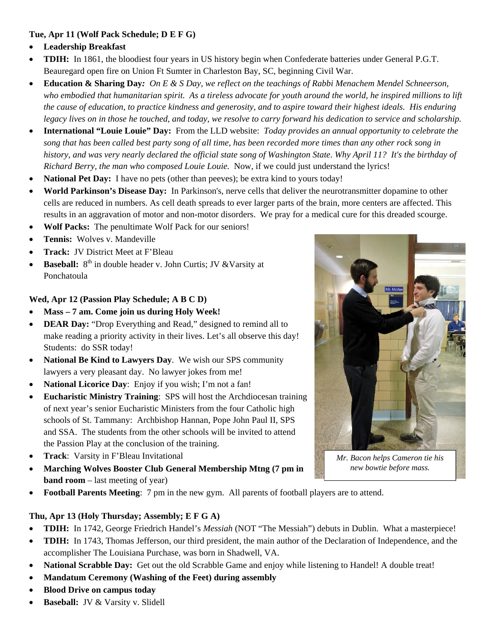#### **Tue, Apr 11 (Wolf Pack Schedule; D E F G)**

- **Leadership Breakfast**
- **TDIH:** In 1861, the bloodiest four years in US history begin when Confederate batteries under General P.G.T. Beauregard open fire on Union Ft Sumter in Charleston Bay, SC, beginning Civil War.
- **Education & Sharing Day***: On E & S Day, we reflect on the teachings of Rabbi Menachem Mendel Schneerson, who embodied that humanitarian spirit. As a tireless advocate for youth around the world, he inspired millions to lift the cause of education, to practice kindness and generosity, and to aspire toward their highest ideals. His enduring legacy lives on in those he touched, and today, we resolve to carry forward his dedication to service and scholarship.*
- **International "Louie Louie" Day:** From the LLD website: *Today provides an annual opportunity to celebrate the song that has been called best party song of all time, has been recorded more times than any other rock song in history, and was very nearly declared the official state song of Washington State*. *Why April 11? It's the birthday of Richard Berry, the man who composed Louie Louie.* Now, if we could just understand the lyrics!
- **National Pet Day:** I have no pets (other than peeves); be extra kind to yours today!
- **World Parkinson's Disease Day:** In Parkinson's, nerve cells that deliver the neurotransmitter dopamine to other cells are reduced in numbers. As cell death spreads to ever larger parts of the brain, more centers are affected. This results in an aggravation of motor and non-motor disorders. We pray for a medical cure for this dreaded scourge.
- **Wolf Packs:** The penultimate Wolf Pack for our seniors!
- **Tennis:** Wolves v. Mandeville
- **Track: JV District Meet at F'Bleau**
- **Baseball:** 8<sup>th</sup> in double header v. John Curtis; JV & Varsity at Ponchatoula

#### **Wed, Apr 12 (Passion Play Schedule; A B C D)**

- **Mass 7 am. Come join us during Holy Week!**
- **DEAR Day:** "Drop Everything and Read," designed to remind all to make reading a priority activity in their lives. Let's all observe this day! Students: do SSR today!
- **National Be Kind to Lawyers Day**. We wish our SPS community lawyers a very pleasant day. No lawyer jokes from me!
- **National Licorice Day**: Enjoy if you wish; I'm not a fan!
- **Eucharistic Ministry Training**: SPS will host the Archdiocesan training of next year's senior Eucharistic Ministers from the four Catholic high schools of St. Tammany: Archbishop Hannan, Pope John Paul II, SPS and SSA. The students from the other schools will be invited to attend the Passion Play at the conclusion of the training.
- **Track**: Varsity in F'Bleau Invitational
- **Marching Wolves Booster Club General Membership Mtng (7 pm in band room** – last meeting of year)
- **Football Parents Meeting**: 7 pm in the new gym. All parents of football players are to attend.

#### **Thu, Apr 13 (Holy Thursday; Assembly; E F G A)**

- **TDIH:** In 1742, George Friedrich Handel's *Messiah* (NOT "The Messiah") debuts in Dublin. What a masterpiece!
- **TDIH:** In 1743, Thomas Jefferson, our third president, the main author of the Declaration of Independence, and the accomplisher The Louisiana Purchase, was born in Shadwell, VA.
- **National Scrabble Day:** Get out the old Scrabble Game and enjoy while listening to Handel! A double treat!
- **Mandatum Ceremony (Washing of the Feet) during assembly**
- **Blood Drive on campus today**
- **Baseball: JV & Varsity v. Slidell**



*Mr. Bacon helps Cameron tie his new bowtie before mass.*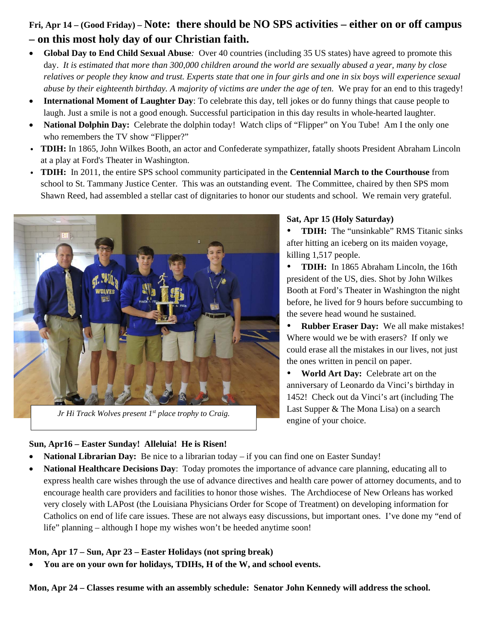### **Fri, Apr 14 – (Good Friday) – Note: there should be NO SPS activities – either on or off campus – on this most holy day of our Christian faith.**

- **Global Day to End Child Sexual Abuse***:* Over 40 countries (including 35 US states) have agreed to promote this day. *It is estimated that more than 300,000 children around the world are sexually abused a year, many by close relatives or people they know and trust. Experts state that one in four girls and one in six boys will experience sexual abuse by their eighteenth birthday. A majority of victims are under the age of ten.* We pray for an end to this tragedy!
- **International Moment of Laughter Day**: To celebrate this day, tell jokes or do funny things that cause people to laugh. Just a smile is not a good enough. Successful participation in this day results in whole-hearted laughter.
- **National Dolphin Day:** Celebrate the dolphin today! Watch clips of "Flipper" on You Tube! Am I the only one who remembers the TV show "Flipper?"
- v **TDIH:** In 1865, John Wilkes Booth, an actor and Confederate sympathizer, fatally shoots President Abraham Lincoln at a play at Ford's Theater in Washington.
- v **TDIH:** In 2011, the entire SPS school community participated in the **Centennial March to the Courthouse** from school to St. Tammany Justice Center.This was an outstanding event. The Committee, chaired by then SPS mom Shawn Reed, had assembled a stellar cast of dignitaries to honor our students and school. We remain very grateful.



*Jr Hi Track Wolves present 1st place trophy to Craig.* 

#### **Sun, Apr16 – Easter Sunday! Alleluia! He is Risen!**

#### **Sat, Apr 15 (Holy Saturday)**

• **TDIH:** The "unsinkable" RMS Titanic sinks after hitting an iceberg on its maiden voyage, killing 1,517 people.

 **TDIH:** In 1865 Abraham Lincoln, the 16th president of the US, dies. Shot by John Wilkes Booth at Ford's Theater in Washington the night before, he lived for 9 hours before succumbing to the severe head wound he sustained.

 **Rubber Eraser Day:** We all make mistakes! Where would we be with erasers? If only we could erase all the mistakes in our lives, not just the ones written in pencil on paper.

 **World Art Day:** Celebrate art on the anniversary of Leonardo da Vinci's birthday in 1452! Check out da Vinci's art (including The Last Supper & The Mona Lisa) on a search engine of your choice.

- **National Librarian Day:** Be nice to a librarian today if you can find one on Easter Sunday!
- **National Healthcare Decisions Day**: Today promotes the importance of advance care planning, educating all to express health care wishes through the use of advance directives and health care power of attorney documents, and to encourage health care providers and facilities to honor those wishes. The Archdiocese of New Orleans has worked very closely with LAPost (the Louisiana Physicians Order for Scope of Treatment) on developing information for Catholics on end of life care issues. These are not always easy discussions, but important ones. I've done my "end of life" planning – although I hope my wishes won't be heeded anytime soon!

#### **Mon, Apr 17 – Sun, Apr 23 – Easter Holidays (not spring break)**

**You are on your own for holidays, TDIHs, H of the W, and school events.**

**Mon, Apr 24 – Classes resume with an assembly schedule: Senator John Kennedy will address the school.**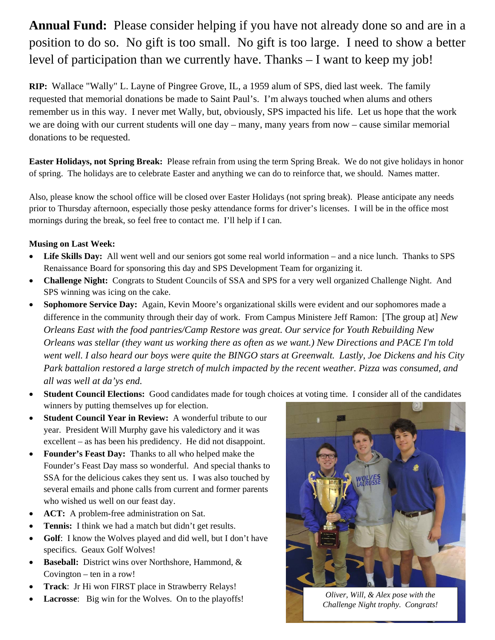# **Annual Fund:** Please consider helping if you have not already done so and are in a position to do so. No gift is too small. No gift is too large. I need to show a better level of participation than we currently have. Thanks – I want to keep my job!

**RIP:** Wallace "Wally" L. Layne of Pingree Grove, IL, a 1959 alum of SPS, died last week. The family requested that memorial donations be made to Saint Paul's. I'm always touched when alums and others remember us in this way. I never met Wally, but, obviously, SPS impacted his life. Let us hope that the work we are doing with our current students will one day – many, many years from now – cause similar memorial donations to be requested.

**Easter Holidays, not Spring Break:** Please refrain from using the term Spring Break. We do not give holidays in honor of spring. The holidays are to celebrate Easter and anything we can do to reinforce that, we should. Names matter.

Also, please know the school office will be closed over Easter Holidays (not spring break). Please anticipate any needs prior to Thursday afternoon, especially those pesky attendance forms for driver's licenses. I will be in the office most mornings during the break, so feel free to contact me. I'll help if I can.

#### **Musing on Last Week:**

- **Life Skills Day:** All went well and our seniors got some real world information and a nice lunch. Thanks to SPS Renaissance Board for sponsoring this day and SPS Development Team for organizing it.
- **Challenge Night:** Congrats to Student Councils of SSA and SPS for a very well organized Challenge Night. And SPS winning was icing on the cake.
- **Sophomore Service Day:** Again, Kevin Moore's organizational skills were evident and our sophomores made a difference in the community through their day of work. From Campus Ministere Jeff Ramon: [The group at] *New Orleans East with the food pantries/Camp Restore was great. Our service for Youth Rebuilding New Orleans was stellar (they want us working there as often as we want.) New Directions and PACE I'm told went well. I also heard our boys were quite the BINGO stars at Greenwalt. Lastly, Joe Dickens and his City Park battalion restored a large stretch of mulch impacted by the recent weather. Pizza was consumed, and all was well at da'ys end.*
- **Student Council Elections:** Good candidates made for tough choices at voting time. I consider all of the candidates winners by putting themselves up for election.
- **Student Council Year in Review:** A wonderful tribute to our year. President Will Murphy gave his valedictory and it was excellent – as has been his predidency. He did not disappoint.
- **Founder's Feast Day:** Thanks to all who helped make the Founder's Feast Day mass so wonderful. And special thanks to SSA for the delicious cakes they sent us. I was also touched by several emails and phone calls from current and former parents who wished us well on our feast day.
- **ACT:** A problem-free administration on Sat.
- **Tennis:** I think we had a match but didn't get results.
- Golf: I know the Wolves played and did well, but I don't have specifics. Geaux Golf Wolves!
- **Baseball:** District wins over Northshore, Hammond, & Covington – ten in a row!
- **Track**: Jr Hi won FIRST place in Strawberry Relays!
- **Lacrosse:** Big win for the Wolves. On to the playoffs! *Oliver, Will, & Alex pose with the*



*Challenge Night trophy. Congrats!*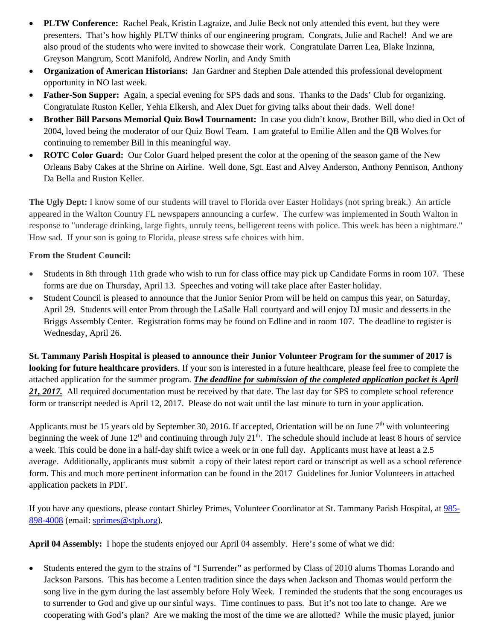- **PLTW Conference:** Rachel Peak, Kristin Lagraize, and Julie Beck not only attended this event, but they were presenters. That's how highly PLTW thinks of our engineering program. Congrats, Julie and Rachel! And we are also proud of the students who were invited to showcase their work. Congratulate Darren Lea, Blake Inzinna, Greyson Mangrum, Scott Manifold, Andrew Norlin, and Andy Smith
- **Organization of American Historians:** Jan Gardner and Stephen Dale attended this professional development opportunity in NO last week.
- **Father-Son Supper:** Again, a special evening for SPS dads and sons. Thanks to the Dads' Club for organizing. Congratulate Ruston Keller, Yehia Elkersh, and Alex Duet for giving talks about their dads. Well done!
- **Brother Bill Parsons Memorial Quiz Bowl Tournament:** In case you didn't know, Brother Bill, who died in Oct of 2004, loved being the moderator of our Quiz Bowl Team. I am grateful to Emilie Allen and the QB Wolves for continuing to remember Bill in this meaningful way.
- **ROTC Color Guard:** Our Color Guard helped present the color at the opening of the season game of the New Orleans Baby Cakes at the Shrine on Airline. Well done, Sgt. East and Alvey Anderson, Anthony Pennison, Anthony Da Bella and Ruston Keller.

**The Ugly Dept:** I know some of our students will travel to Florida over Easter Holidays (not spring break.) An article appeared in the Walton Country FL newspapers announcing a curfew. The curfew was implemented in South Walton in response to "underage drinking, large fights, unruly teens, belligerent teens with police. This week has been a nightmare." How sad. If your son is going to Florida, please stress safe choices with him.

#### **From the Student Council:**

- Students in 8th through 11th grade who wish to run for class office may pick up Candidate Forms in room 107. These forms are due on Thursday, April 13. Speeches and voting will take place after Easter holiday.
- Student Council is pleased to announce that the Junior Senior Prom will be held on campus this year, on Saturday, April 29. Students will enter Prom through the LaSalle Hall courtyard and will enjoy DJ music and desserts in the Briggs Assembly Center. Registration forms may be found on Edline and in room 107. The deadline to register is Wednesday, April 26.

**St. Tammany Parish Hospital is pleased to announce their Junior Volunteer Program for the summer of 2017 is looking for future healthcare providers**. If your son is interested in a future healthcare, please feel free to complete the attached application for the summer program. *The deadline for submission of the completed application packet is April 21, 2017.* All required documentation must be received by that date. The last day for SPS to complete school reference form or transcript needed is April 12, 2017. Please do not wait until the last minute to turn in your application.

Applicants must be 15 years old by September 30, 2016. If accepted, Orientation will be on June  $7<sup>th</sup>$  with volunteering beginning the week of June  $12<sup>th</sup>$  and continuing through July  $21<sup>th</sup>$ . The schedule should include at least 8 hours of service a week. This could be done in a half-day shift twice a week or in one full day. Applicants must have at least a 2.5 average. Additionally, applicants must submit a copy of their latest report card or transcript as well as a school reference form. This and much more pertinent information can be found in the 2017 Guidelines for Junior Volunteers in attached application packets in PDF.

If you have any questions, please contact Shirley Primes, Volunteer Coordinator at St. Tammany Parish Hospital, at 985- 898-4008 (email: sprimes@stph.org).

**April 04 Assembly:** I hope the students enjoyed our April 04 assembly. Here's some of what we did:

 Students entered the gym to the strains of "I Surrender" as performed by Class of 2010 alums Thomas Lorando and Jackson Parsons. This has become a Lenten tradition since the days when Jackson and Thomas would perform the song live in the gym during the last assembly before Holy Week. I reminded the students that the song encourages us to surrender to God and give up our sinful ways. Time continues to pass. But it's not too late to change. Are we cooperating with God's plan? Are we making the most of the time we are allotted?While the music played, junior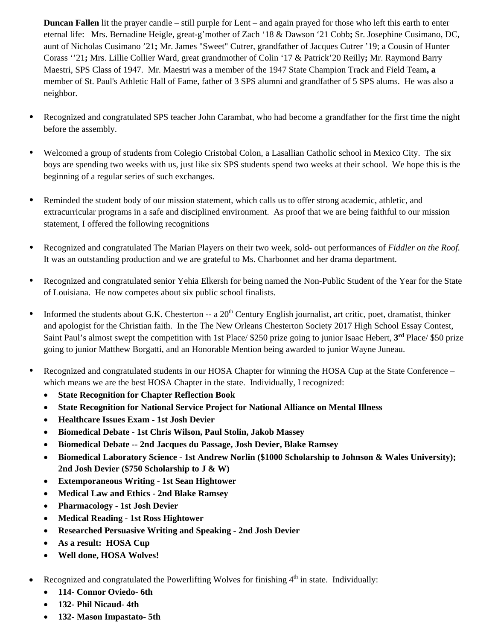**Duncan Fallen** lit the prayer candle – still purple for Lent – and again prayed for those who left this earth to enter eternal life: Mrs. Bernadine Heigle, great-g'mother of Zach '18 & Dawson '21 Cobb**;** Sr. Josephine Cusimano, DC, aunt of Nicholas Cusimano '21**;** Mr. James "Sweet" Cutrer, grandfather of Jacques Cutrer '19; a Cousin of Hunter Corass ''21**;** Mrs. Lillie Collier Ward, great grandmother of Colin '17 & Patrick'20 Reilly**;** Mr. Raymond Barry Maestri, SPS Class of 1947. Mr. Maestri was a member of the 1947 State Champion Track and Field Team**, a**  member of St. Paul's Athletic Hall of Fame, father of 3 SPS alumni and grandfather of 5 SPS alums. He was also a neighbor.

- Recognized and congratulated SPS teacher John Carambat, who had become a grandfather for the first time the night before the assembly.
- Welcomed a group of students from Colegio Cristobal Colon, a Lasallian Catholic school in Mexico City. The six boys are spending two weeks with us, just like six SPS students spend two weeks at their school. We hope this is the beginning of a regular series of such exchanges.
- Reminded the student body of our mission statement, which calls us to offer strong academic, athletic, and extracurricular programs in a safe and disciplined environment. As proof that we are being faithful to our mission statement, I offered the following recognitions
- Recognized and congratulated The Marian Players on their two week, sold- out performances of *Fiddler on the Roof.*  It was an outstanding production and we are grateful to Ms. Charbonnet and her drama department.
- Recognized and congratulated senior Yehia Elkersh for being named the Non-Public Student of the Year for the State of Louisiana. He now competes about six public school finalists.
- Informed the students about G.K. Chesterton -- a  $20<sup>th</sup>$  Century English journalist, art critic, poet, dramatist, thinker and apologist for the Christian faith. In the The New Orleans Chesterton Society 2017 High School Essay Contest, Saint Paul's almost swept the competition with 1st Place/ \$250 prize going to junior Isaac Hebert, **3rd** Place/ \$50 prize going to junior Matthew Borgatti, and an Honorable Mention being awarded to junior Wayne Juneau.
- Recognized and congratulated students in our HOSA Chapter for winning the HOSA Cup at the State Conference which means we are the best HOSA Chapter in the state. Individually, I recognized:
	- **State Recognition for Chapter Reflection Book**
	- **State Recognition for National Service Project for National Alliance on Mental Illness**
	- **Healthcare Issues Exam 1st Josh Devier**
	- **Biomedical Debate 1st Chris Wilson, Paul Stolin, Jakob Massey**
	- **Biomedical Debate -- 2nd Jacques du Passage, Josh Devier, Blake Ramsey**
	- **Biomedical Laboratory Science 1st Andrew Norlin (\$1000 Scholarship to Johnson & Wales University); 2nd Josh Devier (\$750 Scholarship to J & W)**
	- **Extemporaneous Writing 1st Sean Hightower**
	- **Medical Law and Ethics 2nd Blake Ramsey**
	- **Pharmacology 1st Josh Devier**
	- **Medical Reading 1st Ross Hightower**
	- **Researched Persuasive Writing and Speaking 2nd Josh Devier**
	- **As a result: HOSA Cup**
	- **Well done, HOSA Wolves!**
- Recognized and congratulated the Powerlifting Wolves for finishing  $4<sup>th</sup>$  in state. Individually:
	- **114- Connor Oviedo- 6th**
	- **132- Phil Nicaud- 4th**
	- **132- Mason Impastato- 5th**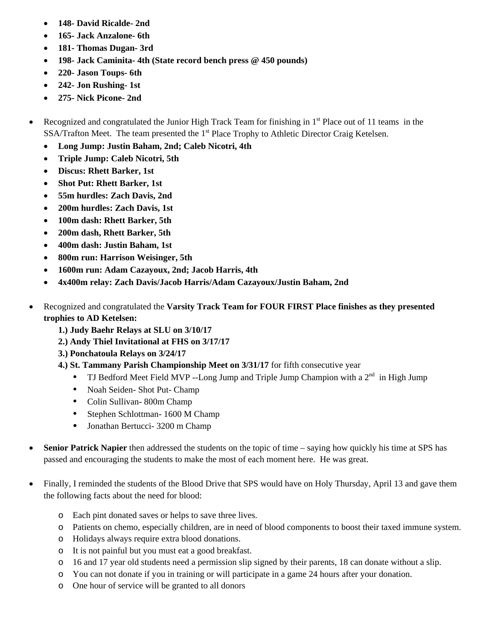- **148- David Ricalde- 2nd**
- **165- Jack Anzalone- 6th**
- **181- Thomas Dugan- 3rd**
- **198- Jack Caminita- 4th (State record bench press @ 450 pounds)**
- **220- Jason Toups- 6th**
- **242- Jon Rushing- 1st**
- **275- Nick Picone- 2nd**
- Recognized and congratulated the Junior High Track Team for finishing in  $1<sup>st</sup>$  Place out of 11 teams in the SSA/Trafton Meet. The team presented the 1<sup>st</sup> Place Trophy to Athletic Director Craig Ketelsen.
	- **Long Jump: Justin Baham, 2nd; Caleb Nicotri, 4th**
	- **Triple Jump: Caleb Nicotri, 5th**
	- **Discus: Rhett Barker, 1st**
	- **Shot Put: Rhett Barker, 1st**
	- **55m hurdles: Zach Davis, 2nd**
	- **200m hurdles: Zach Davis, 1st**
	- **100m dash: Rhett Barker, 5th**
	- **200m dash, Rhett Barker, 5th**
	- **400m dash: Justin Baham, 1st**
	- **800m run: Harrison Weisinger, 5th**
	- **1600m run: Adam Cazayoux, 2nd; Jacob Harris, 4th**
	- **4x400m relay: Zach Davis/Jacob Harris/Adam Cazayoux/Justin Baham, 2nd**
- Recognized and congratulated the **Varsity Track Team for FOUR FIRST Place finishes as they presented trophies to AD Ketelsen:**
	- **1.) Judy Baehr Relays at SLU on 3/10/17**
	- **2.) Andy Thiel Invitational at FHS on 3/17/17**
	- **3.) Ponchatoula Relays on 3/24/17**
	- **4.) St. Tammany Parish Championship Meet on 3/31/17** for fifth consecutive year
		- TJ Bedford Meet Field MVP --Long Jump and Triple Jump Champion with a  $2<sup>nd</sup>$  in High Jump
		- Noah Seiden- Shot Put- Champ
		- Colin Sullivan- 800m Champ
		- Stephen Schlottman- 1600 M Champ
		- Jonathan Bertucci- 3200 m Champ
- **Senior Patrick Napier** then addressed the students on the topic of time saying how quickly his time at SPS has passed and encouraging the students to make the most of each moment here. He was great.
- Finally, I reminded the students of the Blood Drive that SPS would have on Holy Thursday, April 13 and gave them the following facts about the need for blood:
	- o Each pint donated saves or helps to save three lives.
	- o Patients on chemo, especially children, are in need of blood components to boost their taxed immune system.
	- o Holidays always require extra blood donations.
	- o It is not painful but you must eat a good breakfast.
	- o 16 and 17 year old students need a permission slip signed by their parents, 18 can donate without a slip.
	- o You can not donate if you in training or will participate in a game 24 hours after your donation.
	- o One hour of service will be granted to all donors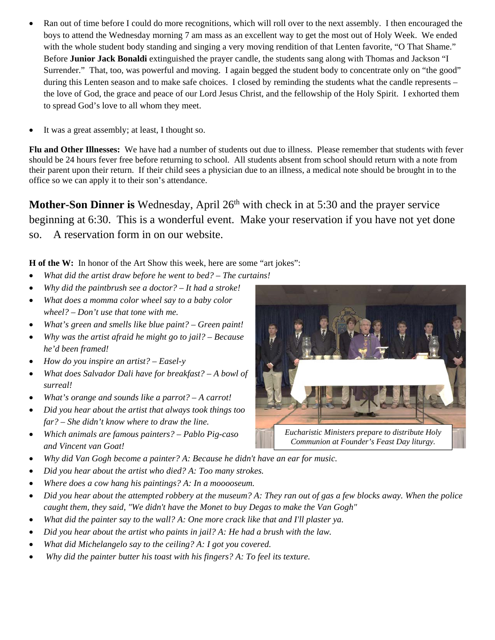- Ran out of time before I could do more recognitions, which will roll over to the next assembly. I then encouraged the boys to attend the Wednesday morning 7 am mass as an excellent way to get the most out of Holy Week. We ended with the whole student body standing and singing a very moving rendition of that Lenten favorite, "O That Shame." Before **Junior Jack Bonaldi** extinguished the prayer candle, the students sang along with Thomas and Jackson "I Surrender." That, too, was powerful and moving. I again begged the student body to concentrate only on "the good" during this Lenten season and to make safe choices. I closed by reminding the students what the candle represents – the love of God, the grace and peace of our Lord Jesus Christ, and the fellowship of the Holy Spirit. I exhorted them to spread God's love to all whom they meet.
- It was a great assembly; at least, I thought so.

**Flu and Other Illnesses:** We have had a number of students out due to illness. Please remember that students with fever should be 24 hours fever free before returning to school. All students absent from school should return with a note from their parent upon their return. If their child sees a physician due to an illness, a medical note should be brought in to the office so we can apply it to their son's attendance.

**Mother-Son Dinner is** Wednesday, April 26<sup>th</sup> with check in at 5:30 and the prayer service beginning at 6:30. This is a wonderful event. Make your reservation if you have not yet done so. A reservation form in on our website.

**H of the W:** In honor of the Art Show this week, here are some "art jokes":

- *What did the artist draw before he went to bed? The curtains!*
- *Why did the paintbrush see a doctor? It had a stroke!*
- *What does a momma color wheel say to a baby color wheel? – Don't use that tone with me.*
- *What's green and smells like blue paint? Green paint!*
- *Why was the artist afraid he might go to jail? Because he'd been framed!*
- *How do you inspire an artist? Easel-y*
- *What does Salvador Dali have for breakfast? A bowl of surreal!*
- *What's orange and sounds like a parrot? A carrot!*
- *Did you hear about the artist that always took things too far? – She didn't know where to draw the line.*
- *Which animals are famous painters? Pablo Pig-caso and Vincent van Goat!*
- *Why did Van Gogh become a painter? A: Because he didn't have an ear for music.*
- *Did you hear about the artist who died? A: Too many strokes.*
- *Where does a cow hang his paintings? A: In a mooooseum.*
- *Did you hear about the attempted robbery at the museum? A: They ran out of gas a few blocks away. When the police caught them, they said, "We didn't have the Monet to buy Degas to make the Van Gogh"*
- *What did the painter say to the wall? A: One more crack like that and I'll plaster ya.*
- *Did you hear about the artist who paints in jail? A: He had a brush with the law.*
- *What did Michelangelo say to the ceiling? A: I got you covered.*
- *Why did the painter butter his toast with his fingers? A: To feel its texture.*

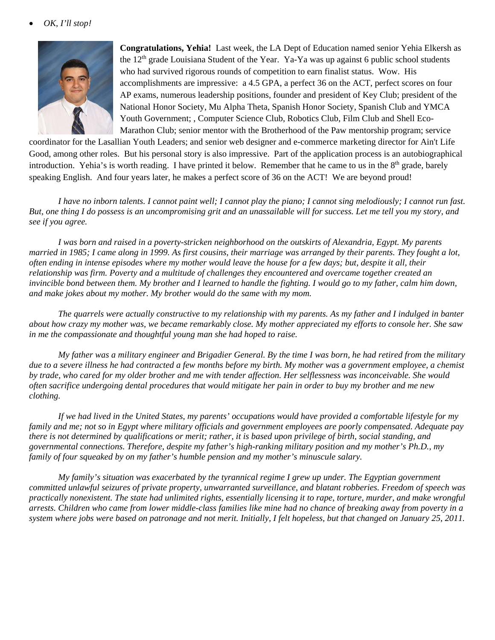

**Congratulations, Yehia!** Last week, the LA Dept of Education named senior Yehia Elkersh as the  $12<sup>th</sup>$  grade Louisiana Student of the Year. Ya-Ya was up against 6 public school students who had survived rigorous rounds of competition to earn finalist status. Wow. His accomplishments are impressive: a 4.5 GPA, a perfect 36 on the ACT, perfect scores on four AP exams, numerous leadership positions, founder and president of Key Club; president of the National Honor Society, Mu Alpha Theta, Spanish Honor Society, Spanish Club and YMCA Youth Government; , Computer Science Club, Robotics Club, Film Club and Shell Eco-Marathon Club; senior mentor with the Brotherhood of the Paw mentorship program; service

coordinator for the Lasallian Youth Leaders; and senior web designer and e-commerce marketing director for Ain't Life Good, among other roles. But his personal story is also impressive. Part of the application process is an autobiographical introduction. Yehia's is worth reading. I have printed it below. Remember that he came to us in the  $8<sup>th</sup>$  grade, barely speaking English. And four years later, he makes a perfect score of 36 on the ACT! We are beyond proud!

*I have no inborn talents. I cannot paint well; I cannot play the piano; I cannot sing melodiously; I cannot run fast. But, one thing I do possess is an uncompromising grit and an unassailable will for success. Let me tell you my story, and see if you agree.* 

*I was born and raised in a poverty-stricken neighborhood on the outskirts of Alexandria, Egypt. My parents married in 1985; I came along in 1999. As first cousins, their marriage was arranged by their parents. They fought a lot, often ending in intense episodes where my mother would leave the house for a few days; but, despite it all, their relationship was firm. Poverty and a multitude of challenges they encountered and overcame together created an invincible bond between them. My brother and I learned to handle the fighting. I would go to my father, calm him down, and make jokes about my mother. My brother would do the same with my mom.* 

*The quarrels were actually constructive to my relationship with my parents. As my father and I indulged in banter about how crazy my mother was, we became remarkably close. My mother appreciated my efforts to console her. She saw in me the compassionate and thoughtful young man she had hoped to raise.* 

*My father was a military engineer and Brigadier General. By the time I was born, he had retired from the military due to a severe illness he had contracted a few months before my birth. My mother was a government employee, a chemist by trade, who cared for my older brother and me with tender affection. Her selflessness was inconceivable. She would often sacrifice undergoing dental procedures that would mitigate her pain in order to buy my brother and me new clothing.* 

*If we had lived in the United States, my parents' occupations would have provided a comfortable lifestyle for my family and me; not so in Egypt where military officials and government employees are poorly compensated. Adequate pay there is not determined by qualifications or merit; rather, it is based upon privilege of birth, social standing, and governmental connections. Therefore, despite my father's high-ranking military position and my mother's Ph.D., my family of four squeaked by on my father's humble pension and my mother's minuscule salary.* 

*My family's situation was exacerbated by the tyrannical regime I grew up under. The Egyptian government committed unlawful seizures of private property, unwarranted surveillance, and blatant robberies. Freedom of speech was practically nonexistent. The state had unlimited rights, essentially licensing it to rape, torture, murder, and make wrongful arrests. Children who came from lower middle-class families like mine had no chance of breaking away from poverty in a system where jobs were based on patronage and not merit. Initially, I felt hopeless, but that changed on January 25, 2011.*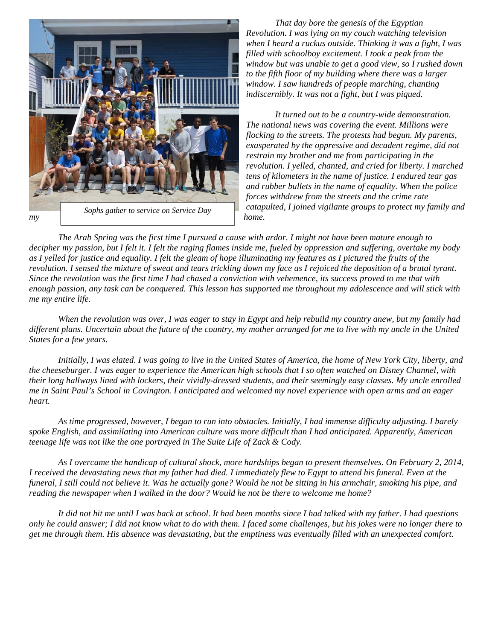

*That day bore the genesis of the Egyptian Revolution. I was lying on my couch watching television when I heard a ruckus outside. Thinking it was a fight, I was filled with schoolboy excitement. I took a peak from the window but was unable to get a good view, so I rushed down to the fifth floor of my building where there was a larger window. I saw hundreds of people marching, chanting indiscernibly. It was not a fight, but I was piqued.* 

*It turned out to be a country-wide demonstration. The national news was covering the event. Millions were flocking to the streets. The protests had begun. My parents, exasperated by the oppressive and decadent regime, did not restrain my brother and me from participating in the revolution. I yelled, chanted, and cried for liberty. I marched tens of kilometers in the name of justice. I endured tear gas and rubber bullets in the name of equality. When the police forces withdrew from the streets and the crime rate catapulted, I joined vigilante groups to protect my family and* 

*The Arab Spring was the first time I pursued a cause with ardor. I might not have been mature enough to decipher my passion, but I felt it. I felt the raging flames inside me, fueled by oppression and suffering, overtake my body as I yelled for justice and equality. I felt the gleam of hope illuminating my features as I pictured the fruits of the revolution. I sensed the mixture of sweat and tears trickling down my face as I rejoiced the deposition of a brutal tyrant. Since the revolution was the first time I had chased a conviction with vehemence, its success proved to me that with enough passion, any task can be conquered. This lesson has supported me throughout my adolescence and will stick with me my entire life.* 

*When the revolution was over, I was eager to stay in Egypt and help rebuild my country anew, but my family had different plans. Uncertain about the future of the country, my mother arranged for me to live with my uncle in the United States for a few years.* 

*Initially, I was elated. I was going to live in the United States of America, the home of New York City, liberty, and the cheeseburger. I was eager to experience the American high schools that I so often watched on Disney Channel, with their long hallways lined with lockers, their vividly-dressed students, and their seemingly easy classes. My uncle enrolled me in Saint Paul's School in Covington. I anticipated and welcomed my novel experience with open arms and an eager heart.* 

*As time progressed, however, I began to run into obstacles. Initially, I had immense difficulty adjusting. I barely spoke English, and assimilating into American culture was more difficult than I had anticipated. Apparently, American teenage life was not like the one portrayed in The Suite Life of Zack & Cody.* 

*As I overcame the handicap of cultural shock, more hardships began to present themselves. On February 2, 2014, I received the devastating news that my father had died. I immediately flew to Egypt to attend his funeral. Even at the funeral, I still could not believe it. Was he actually gone? Would he not be sitting in his armchair, smoking his pipe, and reading the newspaper when I walked in the door? Would he not be there to welcome me home?* 

*It did not hit me until I was back at school. It had been months since I had talked with my father. I had questions only he could answer; I did not know what to do with them. I faced some challenges, but his jokes were no longer there to get me through them. His absence was devastating, but the emptiness was eventually filled with an unexpected comfort.*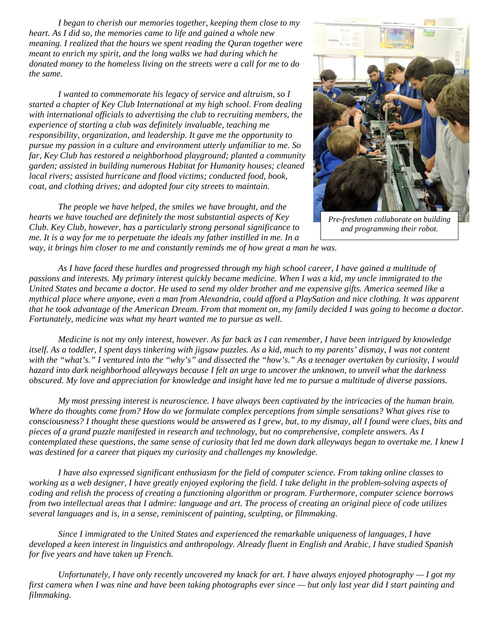*I began to cherish our memories together, keeping them close to my heart. As I did so, the memories came to life and gained a whole new meaning. I realized that the hours we spent reading the Quran together were meant to enrich my spirit, and the long walks we had during which he donated money to the homeless living on the streets were a call for me to do the same.* 

*I wanted to commemorate his legacy of service and altruism, so I started a chapter of Key Club International at my high school. From dealing with international officials to advertising the club to recruiting members, the experience of starting a club was definitely invaluable, teaching me responsibility, organization, and leadership. It gave me the opportunity to pursue my passion in a culture and environment utterly unfamiliar to me. So far, Key Club has restored a neighborhood playground; planted a community garden; assisted in building numerous Habitat for Humanity houses; cleaned local rivers; assisted hurricane and flood victims; conducted food, book, coat, and clothing drives; and adopted four city streets to maintain.* 

*The people we have helped, the smiles we have brought, and the hearts we have touched are definitely the most substantial aspects of Key Club. Key Club, however, has a particularly strong personal significance to me. It is a way for me to perpetuate the ideals my father instilled in me. In a* 



*Pre-freshmen collaborate on building and programming their robot.* 

*way, it brings him closer to me and constantly reminds me of how great a man he was.* 

*As I have faced these hurdles and progressed through my high school career, I have gained a multitude of passions and interests. My primary interest quickly became medicine. When I was a kid, my uncle immigrated to the United States and became a doctor. He used to send my older brother and me expensive gifts. America seemed like a mythical place where anyone, even a man from Alexandria, could afford a PlaySation and nice clothing. It was apparent that he took advantage of the American Dream. From that moment on, my family decided I was going to become a doctor. Fortunately, medicine was what my heart wanted me to pursue as well.* 

*Medicine is not my only interest, however. As far back as I can remember, I have been intrigued by knowledge itself. As a toddler, I spent days tinkering with jigsaw puzzles. As a kid, much to my parents' dismay, I was not content with the "what's." I ventured into the "why's" and dissected the "how's." As a teenager overtaken by curiosity, I would hazard into dark neighborhood alleyways because I felt an urge to uncover the unknown, to unveil what the darkness obscured. My love and appreciation for knowledge and insight have led me to pursue a multitude of diverse passions.* 

*My most pressing interest is neuroscience. I have always been captivated by the intricacies of the human brain. Where do thoughts come from? How do we formulate complex perceptions from simple sensations? What gives rise to consciousness? I thought these questions would be answered as I grew, but, to my dismay, all I found were clues, bits and pieces of a grand puzzle manifested in research and technology, but no comprehensive, complete answers. As I contemplated these questions, the same sense of curiosity that led me down dark alleyways began to overtake me. I knew I was destined for a career that piques my curiosity and challenges my knowledge.* 

*I have also expressed significant enthusiasm for the field of computer science. From taking online classes to working as a web designer, I have greatly enjoyed exploring the field. I take delight in the problem-solving aspects of coding and relish the process of creating a functioning algorithm or program. Furthermore, computer science borrows from two intellectual areas that I admire: language and art. The process of creating an original piece of code utilizes several languages and is, in a sense, reminiscent of painting, sculpting, or filmmaking.* 

*Since I immigrated to the United States and experienced the remarkable uniqueness of languages, I have developed a keen interest in linguistics and anthropology. Already fluent in English and Arabic, I have studied Spanish for five years and have taken up French.* 

*Unfortunately, I have only recently uncovered my knack for art. I have always enjoyed photography — I got my first camera when I was nine and have been taking photographs ever since — but only last year did I start painting and filmmaking.*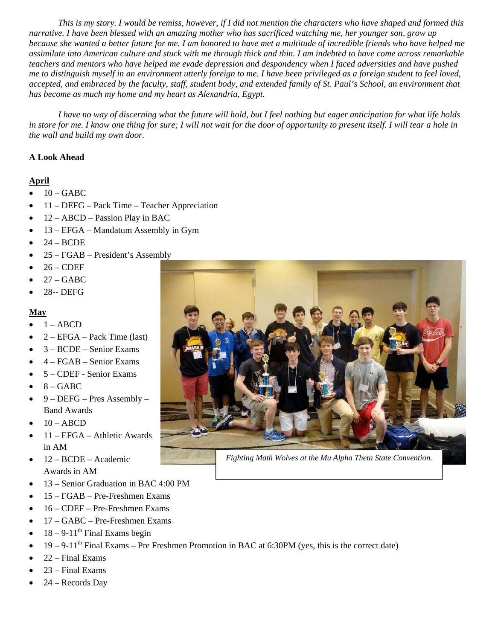*This is my story. I would be remiss, however, if I did not mention the characters who have shaped and formed this narrative. I have been blessed with an amazing mother who has sacrificed watching me, her younger son, grow up because she wanted a better future for me. I am honored to have met a multitude of incredible friends who have helped me assimilate into American culture and stuck with me through thick and thin. I am indebted to have come across remarkable teachers and mentors who have helped me evade depression and despondency when I faced adversities and have pushed me to distinguish myself in an environment utterly foreign to me. I have been privileged as a foreign student to feel loved, accepted, and embraced by the faculty, staff, student body, and extended family of St. Paul's School, an environment that has become as much my home and my heart as Alexandria, Egypt.* 

*I have no way of discerning what the future will hold, but I feel nothing but eager anticipation for what life holds in store for me. I know one thing for sure; I will not wait for the door of opportunity to present itself. I will tear a hole in the wall and build my own door.* 

#### **A Look Ahead**

#### **April**

- $10 GABC$
- 11 DEFG Pack Time Teacher Appreciation
- $\bullet$  12 ABCD Passion Play in BAC
- 13 EFGA Mandatum Assembly in Gym
- $\bullet$  24 BCDE
- 25 FGAB President's Assembly
- 26 CDEF
- 27 GABC
- 28-- DEFG

#### **May**

- 1 ABCD
- 2 EFGA Pack Time (last)
- 3 BCDE Senior Exams
- 4 FGAB Senior Exams
- 5 CDEF Senior Exams
- $8 GABC$
- 9 DEFG Pres Assembly Band Awards
- 10 ABCD
- 11 EFGA Athletic Awards in AM
- 12 BCDE Academic Awards in AM
- 13 Senior Graduation in BAC 4:00 PM
- 15 FGAB Pre-Freshmen Exams
- 16 CDEF Pre-Freshmen Exams
- 17 GABC Pre-Freshmen Exams
- $\bullet$  18 9-11<sup>th</sup> Final Exams begin
- $19 9 11$ <sup>th</sup> Final Exams Pre Freshmen Promotion in BAC at 6:30PM (yes, this is the correct date)
- 22 Final Exams
- 23 Final Exams
- 24 Records Day



*Fighting Math Wolves at the Mu Alpha Theta State Convention.*